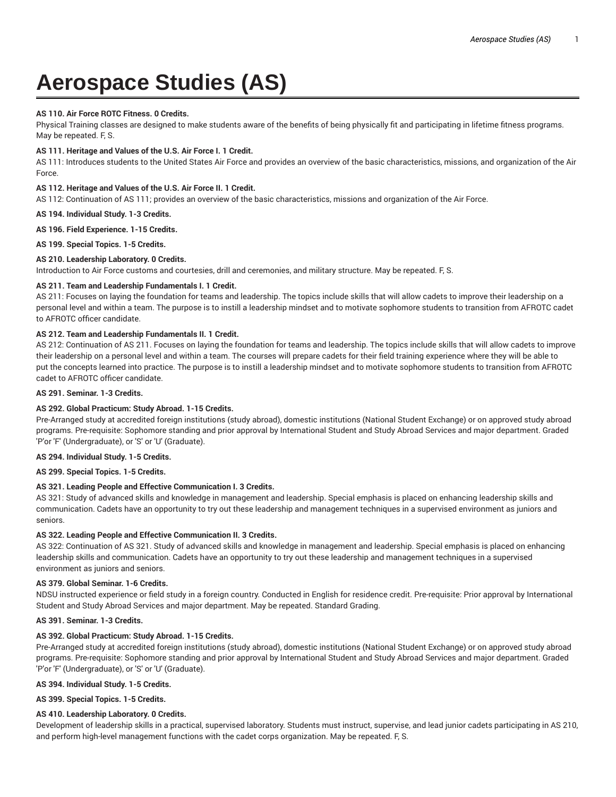# **Aerospace Studies (AS)**

# **AS 110. Air Force ROTC Fitness. 0 Credits.**

Physical Training classes are designed to make students aware of the benefits of being physically fit and participating in lifetime fitness programs. May be repeated. F, S.

# **AS 111. Heritage and Values of the U.S. Air Force I. 1 Credit.**

AS 111: Introduces students to the United States Air Force and provides an overview of the basic characteristics, missions, and organization of the Air Force.

# **AS 112. Heritage and Values of the U.S. Air Force II. 1 Credit.**

AS 112: Continuation of AS 111; provides an overview of the basic characteristics, missions and organization of the Air Force.

#### **AS 194. Individual Study. 1-3 Credits.**

**AS 196. Field Experience. 1-15 Credits.**

**AS 199. Special Topics. 1-5 Credits.**

# **AS 210. Leadership Laboratory. 0 Credits.**

Introduction to Air Force customs and courtesies, drill and ceremonies, and military structure. May be repeated. F, S.

# **AS 211. Team and Leadership Fundamentals I. 1 Credit.**

AS 211: Focuses on laying the foundation for teams and leadership. The topics include skills that will allow cadets to improve their leadership on a personal level and within a team. The purpose is to instill a leadership mindset and to motivate sophomore students to transition from AFROTC cadet to AFROTC officer candidate.

# **AS 212. Team and Leadership Fundamentals II. 1 Credit.**

AS 212: Continuation of AS 211. Focuses on laying the foundation for teams and leadership. The topics include skills that will allow cadets to improve their leadership on a personal level and within a team. The courses will prepare cadets for their field training experience where they will be able to put the concepts learned into practice. The purpose is to instill a leadership mindset and to motivate sophomore students to transition from AFROTC cadet to AFROTC officer candidate.

## **AS 291. Seminar. 1-3 Credits.**

# **AS 292. Global Practicum: Study Abroad. 1-15 Credits.**

Pre-Arranged study at accredited foreign institutions (study abroad), domestic institutions (National Student Exchange) or on approved study abroad programs. Pre-requisite: Sophomore standing and prior approval by International Student and Study Abroad Services and major department. Graded 'P'or 'F' (Undergraduate), or 'S' or 'U' (Graduate).

# **AS 294. Individual Study. 1-5 Credits.**

#### **AS 299. Special Topics. 1-5 Credits.**

# **AS 321. Leading People and Effective Communication I. 3 Credits.**

AS 321: Study of advanced skills and knowledge in management and leadership. Special emphasis is placed on enhancing leadership skills and communication. Cadets have an opportunity to try out these leadership and management techniques in a supervised environment as juniors and seniors.

#### **AS 322. Leading People and Effective Communication II. 3 Credits.**

AS 322: Continuation of AS 321. Study of advanced skills and knowledge in management and leadership. Special emphasis is placed on enhancing leadership skills and communication. Cadets have an opportunity to try out these leadership and management techniques in a supervised environment as juniors and seniors.

# **AS 379. Global Seminar. 1-6 Credits.**

NDSU instructed experience or field study in a foreign country. Conducted in English for residence credit. Pre-requisite: Prior approval by International Student and Study Abroad Services and major department. May be repeated. Standard Grading.

## **AS 391. Seminar. 1-3 Credits.**

# **AS 392. Global Practicum: Study Abroad. 1-15 Credits.**

Pre-Arranged study at accredited foreign institutions (study abroad), domestic institutions (National Student Exchange) or on approved study abroad programs. Pre-requisite: Sophomore standing and prior approval by International Student and Study Abroad Services and major department. Graded 'P'or 'F' (Undergraduate), or 'S' or 'U' (Graduate).

#### **AS 394. Individual Study. 1-5 Credits.**

**AS 399. Special Topics. 1-5 Credits.**

# **AS 410. Leadership Laboratory. 0 Credits.**

Development of leadership skills in a practical, supervised laboratory. Students must instruct, supervise, and lead junior cadets participating in AS 210, and perform high-level management functions with the cadet corps organization. May be repeated. F, S.